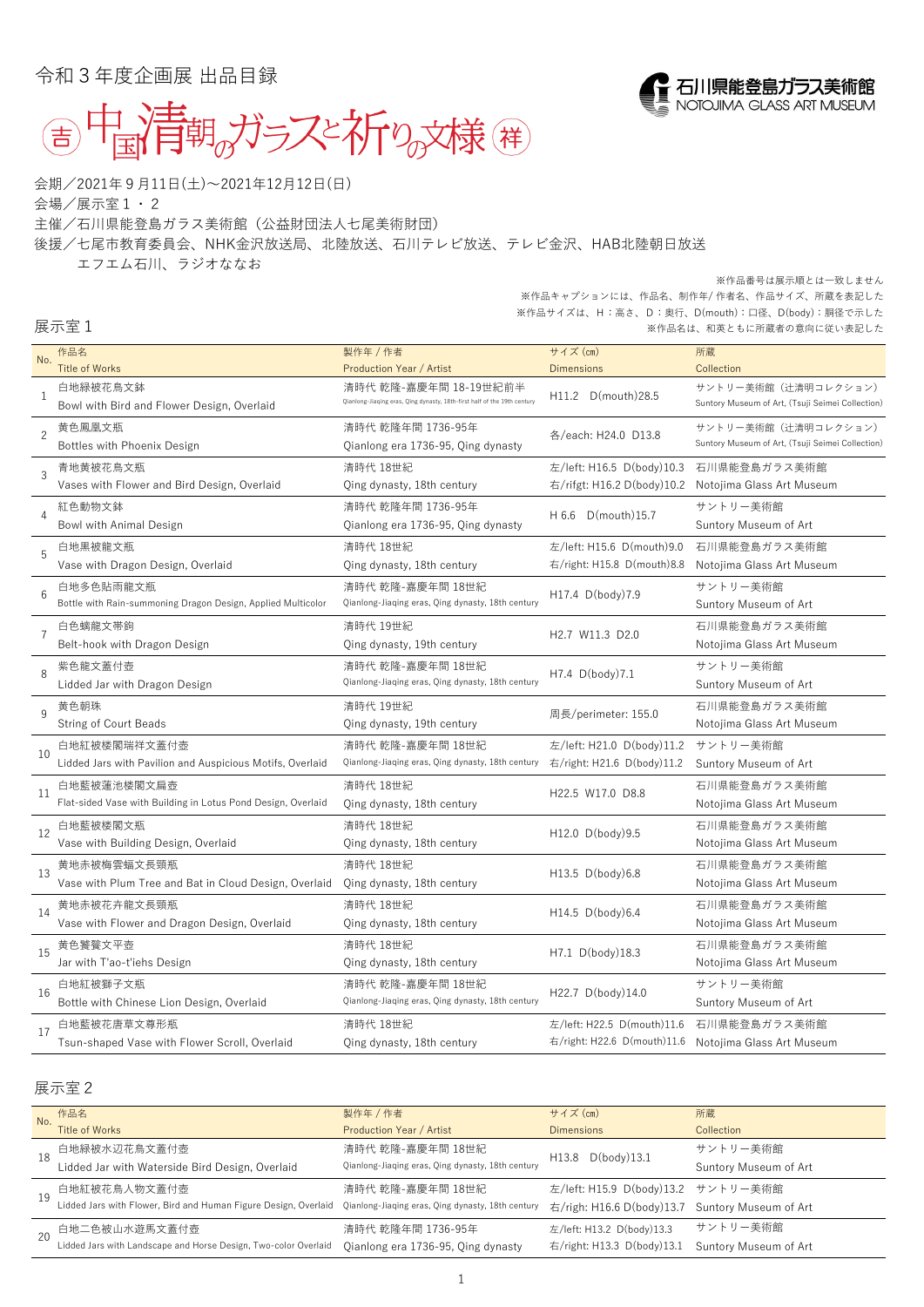令和3年度企画展 出品目録



会期/2021年9月11日(土)~2021年12月12日(日)

会場/展示室1・2

主催/石川県能登島ガラス美術館(公益財団法人七尾美術財団)

後援/七尾市教育委員会、NHK金沢放送局、北陸放送、石川テレビ放送、テレビ金沢、HAB北陸朝日放送

エフエム石川、ラジオななお

## 展示室1

| No.            | 作品名                                                                              | 製作年/作者                                                                   | サイズ (cm)                                                | 所蔵                                               |
|----------------|----------------------------------------------------------------------------------|--------------------------------------------------------------------------|---------------------------------------------------------|--------------------------------------------------|
|                | <b>Title of Works</b>                                                            | <b>Production Year / Artist</b>                                          | <b>Dimensions</b>                                       | Collection                                       |
| $\mathbf{1}$   | 白地緑被花鳥文鉢                                                                         | 清時代 乾隆-嘉慶年間 18-19世紀前半                                                    |                                                         | サントリー美術館 (辻清明コレクション)                             |
|                | Bowl with Bird and Flower Design, Overlaid                                       | Qianlong-Jiaqing eras, Qing dynasty, 18th-first half of the 19th century | D(mouth)28.5<br>H11.2                                   | Suntory Museum of Art, (Tsuji Seimei Collection) |
| $\overline{2}$ | 黄色鳳凰文瓶                                                                           | 清時代 乾隆年間 1736-95年                                                        | 各/each: H24.0 D13.8                                     | サントリー美術館(辻清明コレクション)                              |
|                | Bottles with Phoenix Design                                                      | Qianlong era 1736-95, Qing dynasty                                       |                                                         | Suntory Museum of Art, (Tsuji Seimei Collection) |
|                |                                                                                  |                                                                          | 左/left: H16.5 D(body)10.3                               | 石川県能登島ガラス美術館                                     |
| $\overline{3}$ | 青地黄被花鳥文瓶<br>Vases with Flower and Bird Design, Overlaid                          | 清時代 18世紀                                                                 | 右/rifgt: H16.2 D(body)10.2                              | Notojima Glass Art Museum                        |
|                |                                                                                  | Qing dynasty, 18th century                                               |                                                         |                                                  |
| 4              | 紅色動物文鉢                                                                           | 清時代 乾隆年間 1736-95年                                                        | H 6.6 D(mouth) 15.7                                     | サントリー美術館                                         |
|                | Bowl with Animal Design                                                          | Qianlong era 1736-95, Qing dynasty                                       |                                                         | Suntory Museum of Art                            |
| 5              | 白地黒被龍文瓶                                                                          | 清時代 18世紀                                                                 | 左/left: H15.6 D(mouth)9.0                               | 石川県能登島ガラス美術館                                     |
|                | Vase with Dragon Design, Overlaid                                                | Qing dynasty, 18th century                                               | 右/right: H15.8 D(mouth)8.8                              | Notojima Glass Art Museum                        |
| 6              | 白地多色貼雨龍文瓶                                                                        | 清時代 乾隆-嘉慶年間 18世紀                                                         | H17.4 D(body)7.9                                        | サントリー美術館                                         |
|                | Bottle with Rain-summoning Dragon Design, Applied Multicolor                     | Qianlong-Jiaqing eras, Qing dynasty, 18th century                        |                                                         | Suntory Museum of Art                            |
|                | 白色螭龍文帯鉤                                                                          | 清時代 19世紀                                                                 |                                                         | 石川県能登島ガラス美術館                                     |
|                | Belt-hook with Dragon Design                                                     | Qing dynasty, 19th century                                               | H2.7 W11.3 D2.0                                         | Notojima Glass Art Museum                        |
|                | 紫色龍文蓋付壺                                                                          | 清時代 乾隆-嘉慶年間 18世紀                                                         |                                                         | サントリー美術館                                         |
| 8              | Lidded Jar with Dragon Design                                                    | Qianlong-Jiaqing eras, Qing dynasty, 18th century                        | H7.4 D(body)7.1                                         | Suntory Museum of Art                            |
|                |                                                                                  |                                                                          |                                                         |                                                  |
| $\overline{Q}$ | 黄色朝珠                                                                             | 清時代 19世紀                                                                 | 周長/perimeter: 155.0                                     | 石川県能登島ガラス美術館                                     |
|                | <b>String of Court Beads</b>                                                     | Qing dynasty, 19th century                                               |                                                         | Notojima Glass Art Museum                        |
| 10             | 白地紅被楼閣瑞祥文蓋付壺                                                                     | 清時代 乾隆-嘉慶年間 18世紀                                                         | 左/left: H21.0 D(body)11.2                               | サントリー美術館                                         |
|                | Lidded Jars with Pavilion and Auspicious Motifs, Overlaid                        | Qianlong-Jiaqing eras, Qing dynasty, 18th century                        | 右/right: H21.6 D(body)11.2                              | Suntory Museum of Art                            |
| -11            | 白地藍被蓮池楼閣文扁壺                                                                      | 清時代 18世紀                                                                 |                                                         | 石川県能登島ガラス美術館                                     |
|                | Flat-sided Vase with Building in Lotus Pond Design, Overlaid                     | Qing dynasty, 18th century                                               | H22.5 W17.0 D8.8                                        | Notojima Glass Art Museum                        |
|                | 白地藍被楼閣文瓶                                                                         | 清時代 18世紀                                                                 | H12.0 D(body) 9.5                                       | 石川県能登島ガラス美術館                                     |
| 12             | Vase with Building Design, Overlaid                                              | Qing dynasty, 18th century                                               |                                                         | Notojima Glass Art Museum                        |
|                | 黄地赤被梅雲蝠文長頸瓶                                                                      | 清時代 18世紀                                                                 |                                                         | 石川県能登島ガラス美術館                                     |
| 13             | Vase with Plum Tree and Bat in Cloud Design, Overlaid                            | Qing dynasty, 18th century                                               | H13.5 D(body)6.8                                        | Notojima Glass Art Museum                        |
|                |                                                                                  |                                                                          |                                                         |                                                  |
| 14             | 黄地赤被花卉龍文長頸瓶                                                                      | 清時代 18世紀                                                                 | H14.5 D(body)6.4                                        | 石川県能登島ガラス美術館                                     |
|                | Vase with Flower and Dragon Design, Overlaid                                     | Qing dynasty, 18th century                                               |                                                         | Notojima Glass Art Museum                        |
| 15             | 黄色饕餮文平壺                                                                          | 清時代 18世紀                                                                 | H7.1 D(body)18.3                                        | 石川県能登島ガラス美術館                                     |
|                | Jar with T'ao-t'iehs Design                                                      | Qing dynasty, 18th century                                               |                                                         | Notojima Glass Art Museum                        |
| 16             | 白地紅被獅子文瓶                                                                         | 清時代 乾隆-嘉慶年間 18世紀                                                         | H22.7 D(body)14.0                                       | サントリー美術館                                         |
|                | Bottle with Chinese Lion Design, Overlaid                                        | Qianlong-Jiaqing eras, Qing dynasty, 18th century                        |                                                         | Suntory Museum of Art                            |
|                | 白地藍被花唐草文尊形瓶                                                                      | 清時代 18世紀                                                                 | 左/left: H22.5 D(mouth)11.6                              | 石川県能登島ガラス美術館                                     |
| 17             | Tsun-shaped Vase with Flower Scroll, Overlaid                                    | Qing dynasty, 18th century                                               | 右/right: H22.6 D(mouth)11.6                             | Notojima Glass Art Museum                        |
|                |                                                                                  |                                                                          |                                                         |                                                  |
|                |                                                                                  |                                                                          |                                                         |                                                  |
|                | 展示室 2                                                                            |                                                                          |                                                         |                                                  |
|                | 作品名                                                                              | 製作年 / 作者                                                                 | サイズ (cm)                                                | 所蔵                                               |
| No.            | <b>Title of Works</b>                                                            | <b>Production Year / Artist</b>                                          | <b>Dimensions</b>                                       | Collection                                       |
|                | 白地緑被水辺花鳥文蓋付壺                                                                     | 清時代 乾隆-嘉慶年間 18世紀                                                         | $D(body)$ 13.1<br>H13.8                                 | サントリー美術館                                         |
| 18             | Lidded Jar with Waterside Bird Design, Overlaid                                  | Qianlong-Jiaqing eras, Qing dynasty, 18th century                        |                                                         | Suntory Museum of Art                            |
|                | 白地紅被花鳥人物文蓋付壺                                                                     | 清時代 乾隆-嘉慶年間 18世紀                                                         | 左/left: H15.9 D(body)13.2                               | サントリー美術館                                         |
| 19             | Lidded Jars with Flower, Bird and Human Figure Design, Overlaid                  | Qianlong-Jiaqing eras, Qing dynasty, 18th century                        | 右/righ: H16.6 D(body)13.7                               | Suntory Museum of Art                            |
|                |                                                                                  |                                                                          |                                                         | サントリー美術館                                         |
| 20             | 白地二色被山水遊馬文蓋付壺<br>Lidded Jars with Landscape and Horse Design, Two-color Overlaid | 清時代 乾隆年間 1736-95年                                                        | 左/left: H13.2 D(body)13.3<br>右/right: H13.3 D(body)13.1 | Suntory Museum of Art                            |
|                |                                                                                  | Qianlong era 1736-95, Qing dynasty                                       |                                                         |                                                  |



## ※作品番号は展示順とは一致しません

※作品キャプションには、作品名、制作年/ 作者名、作品サイズ、所蔵を表記した ※作品サイズは、H:高さ、D:奥行、D(mouth):口径、D(body):胴径で示した ※作品名は、和英ともに所蔵者の意向に従い表記した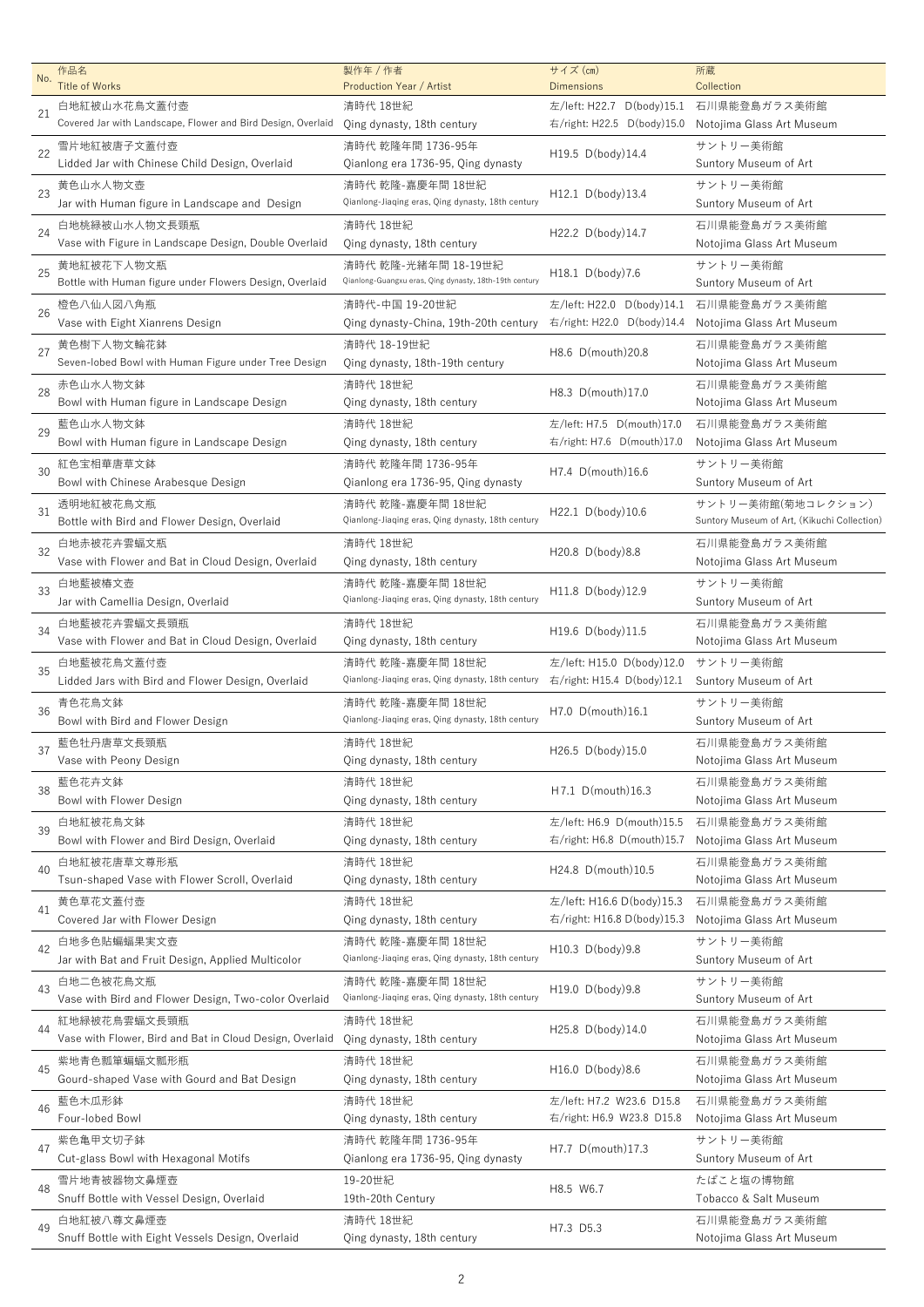| No. | 作品名                                                                                 | 製作年 / 作者                                               | サイズ (cm)                                       | 所蔵                                          |
|-----|-------------------------------------------------------------------------------------|--------------------------------------------------------|------------------------------------------------|---------------------------------------------|
|     | <b>Title of Works</b><br>白地紅被山水花鳥文蓋付壺                                               | <b>Production Year / Artist</b><br>清時代 18世紀            | <b>Dimensions</b><br>左/left: H22.7 D(body)15.1 | Collection<br>石川県能登島ガラス美術館                  |
| 21  | Covered Jar with Landscape, Flower and Bird Design, Overlaid                        | Qing dynasty, 18th century                             | 右/right: H22.5 D(body)15.0                     | Notojima Glass Art Museum                   |
|     | 雪片地紅被唐子文蓋付壺                                                                         | 清時代 乾隆年間 1736-95年                                      |                                                | サントリー美術館                                    |
| 22  | Lidded Jar with Chinese Child Design, Overlaid                                      | Qianlong era 1736-95, Qing dynasty                     | H19.5 D(body)14.4                              | Suntory Museum of Art                       |
|     | 黄色山水人物文壺                                                                            | 清時代 乾隆-嘉慶年間 18世紀                                       |                                                | サントリー美術館                                    |
| 23  | Jar with Human figure in Landscape and Design                                       | Qianlong-Jiaqing eras, Qing dynasty, 18th century      | H12.1 D(body)13.4                              | Suntory Museum of Art                       |
|     | 白地桃緑被山水人物文長頸瓶                                                                       | 清時代 18世紀                                               |                                                | 石川県能登島ガラス美術館                                |
| 24  | Vase with Figure in Landscape Design, Double Overlaid                               | Qing dynasty, 18th century                             | H22.2 D(body)14.7                              | Notojima Glass Art Museum                   |
|     | 黄地紅被花下人物文瓶                                                                          | 清時代 乾隆-光緒年間 18-19世紀                                    |                                                | サントリー美術館                                    |
| 25  | Bottle with Human figure under Flowers Design, Overlaid                             | Qianlong-Guangxu eras, Qing dynasty, 18th-19th century | H18.1 D(body)7.6                               | Suntory Museum of Art                       |
|     | 橙色八仙人図八角瓶                                                                           | 清時代-中国 19-20世紀                                         | 左/left: H22.0 D(body)14.1                      | 石川県能登島ガラス美術館                                |
| 26  | Vase with Eight Xianrens Design                                                     | Qing dynasty-China, 19th-20th century                  | 右/right: H22.0 D(body)14.4                     | Notojima Glass Art Museum                   |
|     | 黄色樹下人物文輪花鉢                                                                          | 清時代 18-19世紀                                            |                                                | 石川県能登島ガラス美術館                                |
| 27  | Seven-lobed Bowl with Human Figure under Tree Design                                | Qing dynasty, 18th-19th century                        | H8.6 D(mouth)20.8                              | Notojima Glass Art Museum                   |
|     | 赤色山水人物文鉢                                                                            | 清時代 18世紀                                               |                                                | 石川県能登島ガラス美術館                                |
| 28  | Bowl with Human figure in Landscape Design                                          | Qing dynasty, 18th century                             | H8.3 D(mouth)17.0                              | Notojima Glass Art Museum                   |
|     | 藍色山水人物文鉢                                                                            | 清時代 18世紀                                               | 左/left: H7.5 D(mouth)17.0                      | 石川県能登島ガラス美術館                                |
| 29  | Bowl with Human figure in Landscape Design                                          | Qing dynasty, 18th century                             | 右/right: H7.6 D(mouth)17.0                     | Notojima Glass Art Museum                   |
|     | 紅色宝相華唐草文鉢                                                                           | 清時代 乾隆年間 1736-95年                                      |                                                | サントリー美術館                                    |
| 30  | Bowl with Chinese Arabesque Design                                                  | Qianlong era 1736-95, Qing dynasty                     | H7.4 D(mouth)16.6                              | Suntory Museum of Art                       |
|     | 透明地紅被花鳥文瓶                                                                           | 清時代 乾隆-嘉慶年間 18世紀                                       |                                                | サントリー美術館(菊地コレクション)                          |
| 31  | Bottle with Bird and Flower Design, Overlaid                                        | Qianlong-Jiaqing eras, Qing dynasty, 18th century      | H22.1 D(body)10.6                              | Suntory Museum of Art, (Kikuchi Collection) |
|     | 白地赤被花卉雲蝠文瓶                                                                          | 清時代 18世紀                                               |                                                | 石川県能登島ガラス美術館                                |
| 32  | Vase with Flower and Bat in Cloud Design, Overlaid                                  | Qing dynasty, 18th century                             | H20.8 D(body)8.8                               | Notojima Glass Art Museum                   |
|     | 白地藍被椿文壺                                                                             | 清時代 乾隆-嘉慶年間 18世紀                                       |                                                | サントリー美術館                                    |
| 33  | Jar with Camellia Design, Overlaid                                                  | Qianlong-Jiaqing eras, Qing dynasty, 18th century      | H11.8 D(body)12.9                              | Suntory Museum of Art                       |
|     | 白地藍被花卉雲蝠文長頸瓶                                                                        | 清時代 18世紀                                               |                                                | 石川県能登島ガラス美術館                                |
| 34  | Vase with Flower and Bat in Cloud Design, Overlaid                                  | Qing dynasty, 18th century                             | H19.6 D(body)11.5                              | Notojima Glass Art Museum                   |
|     | 白地藍被花鳥文蓋付壺                                                                          | 清時代 乾隆-嘉慶年間 18世紀                                       | 左/left: H15.0 D(body)12.0                      | サントリー美術館                                    |
| 35  | Lidded Jars with Bird and Flower Design, Overlaid                                   | Qianlong-Jiaqing eras, Qing dynasty, 18th century      | 右/right: H15.4 D(body)12.1                     | Suntory Museum of Art                       |
|     | 青色花鳥文鉢                                                                              | 清時代 乾隆-嘉慶年間 18世紀                                       |                                                | サントリー美術館                                    |
| 36  | Bowl with Bird and Flower Design                                                    | Qianlong-Jiaqing eras, Qing dynasty, 18th century      | H7.0 D(mouth)16.1                              | Suntory Museum of Art                       |
|     | 藍色牡丹唐草文長頸瓶                                                                          | 清時代 18世紀                                               |                                                | 石川県能登島ガラス美術館                                |
| 37  | Vase with Peony Design                                                              | Qing dynasty, 18th century                             | H26.5 D(body)15.0                              | Notojima Glass Art Museum                   |
|     | 藍色花卉文鉢                                                                              | 清時代 18世紀                                               |                                                | 石川県能登島ガラス美術館                                |
| 38  | Bowl with Flower Design                                                             | Qing dynasty, 18th century                             | H7.1 D(mouth)16.3                              | Notojima Glass Art Museum                   |
|     | 白地紅被花鳥文鉢                                                                            | 清時代 18世紀                                               | 左/left: H6.9 D(mouth)15.5                      | 石川県能登島ガラス美術館                                |
| 39  | Bowl with Flower and Bird Design, Overlaid                                          | Qing dynasty, 18th century                             | 右/right: H6.8 D(mouth)15.7                     | Notojima Glass Art Museum                   |
|     | 白地紅被花唐草文尊形瓶                                                                         | 清時代 18世紀                                               |                                                | 石川県能登島ガラス美術館                                |
| 40  | Tsun-shaped Vase with Flower Scroll, Overlaid                                       | Qing dynasty, 18th century                             | H24.8 D(mouth)10.5                             | Notojima Glass Art Museum                   |
|     | 黄色草花文蓋付壺                                                                            | 清時代 18世紀                                               | 左/left: H16.6 D(body)15.3                      | 石川県能登島ガラス美術館                                |
| 41  | Covered Jar with Flower Design                                                      | Qing dynasty, 18th century                             | 右/right: H16.8 D(body)15.3                     | Notojima Glass Art Museum                   |
|     | 白地多色貼蝙蝠果実文壺                                                                         | 清時代 乾隆-嘉慶年間 18世紀                                       |                                                | サントリー美術館                                    |
| 42  | Jar with Bat and Fruit Design, Applied Multicolor                                   | Qianlong-Jiaqing eras, Qing dynasty, 18th century      | H10.3 D(body)9.8                               | Suntory Museum of Art                       |
| 43  | 白地二色被花鳥文瓶                                                                           | 清時代 乾隆-嘉慶年間 18世紀                                       |                                                | サントリー美術館                                    |
|     | Vase with Bird and Flower Design, Two-color Overlaid                                | Qianlong-Jiaqing eras, Qing dynasty, 18th century      | H19.0 D(body)9.8                               | Suntory Museum of Art                       |
| 44  | 紅地緑被花鳥雲蝠文長頸瓶                                                                        | 清時代 18世紀                                               | H25.8 D(body)14.0                              | 石川県能登島ガラス美術館                                |
|     | Vase with Flower, Bird and Bat in Cloud Design, Overlaid Qing dynasty, 18th century |                                                        |                                                | Notojima Glass Art Museum                   |
| 45  | 紫地青色瓢箪蝙蝠文瓢形瓶                                                                        | 清時代 18世紀                                               | H16.0 D(body)8.6                               | 石川県能登島ガラス美術館                                |
|     | Gourd-shaped Vase with Gourd and Bat Design                                         | Qing dynasty, 18th century                             |                                                | Notojima Glass Art Museum                   |
| 46  | 藍色木瓜形鉢                                                                              | 清時代 18世紀                                               | 左/left: H7.2 W23.6 D15.8                       | 石川県能登島ガラス美術館                                |
|     | Four-lobed Bowl                                                                     | Qing dynasty, 18th century                             | 右/right: H6.9 W23.8 D15.8                      | Notojima Glass Art Museum                   |
| 47  | 紫色亀甲文切子鉢                                                                            | 清時代 乾隆年間 1736-95年                                      | H7.7 D(mouth)17.3                              | サントリー美術館                                    |
|     | Cut-glass Bowl with Hexagonal Motifs                                                | Qianlong era 1736-95, Qing dynasty                     |                                                | Suntory Museum of Art                       |
| 48  | 雪片地青被器物文鼻煙壺                                                                         | 19-20世紀                                                | H8.5 W6.7                                      | たばこと塩の博物館                                   |
|     | Snuff Bottle with Vessel Design, Overlaid                                           | 19th-20th Century                                      |                                                | Tobacco & Salt Museum                       |
| 49  | 白地紅被八尊文鼻煙壺                                                                          | 清時代 18世紀                                               | H7.3 D5.3                                      | 石川県能登島ガラス美術館                                |
|     | Snuff Bottle with Eight Vessels Design, Overlaid                                    | Qing dynasty, 18th century                             |                                                | Notojima Glass Art Museum                   |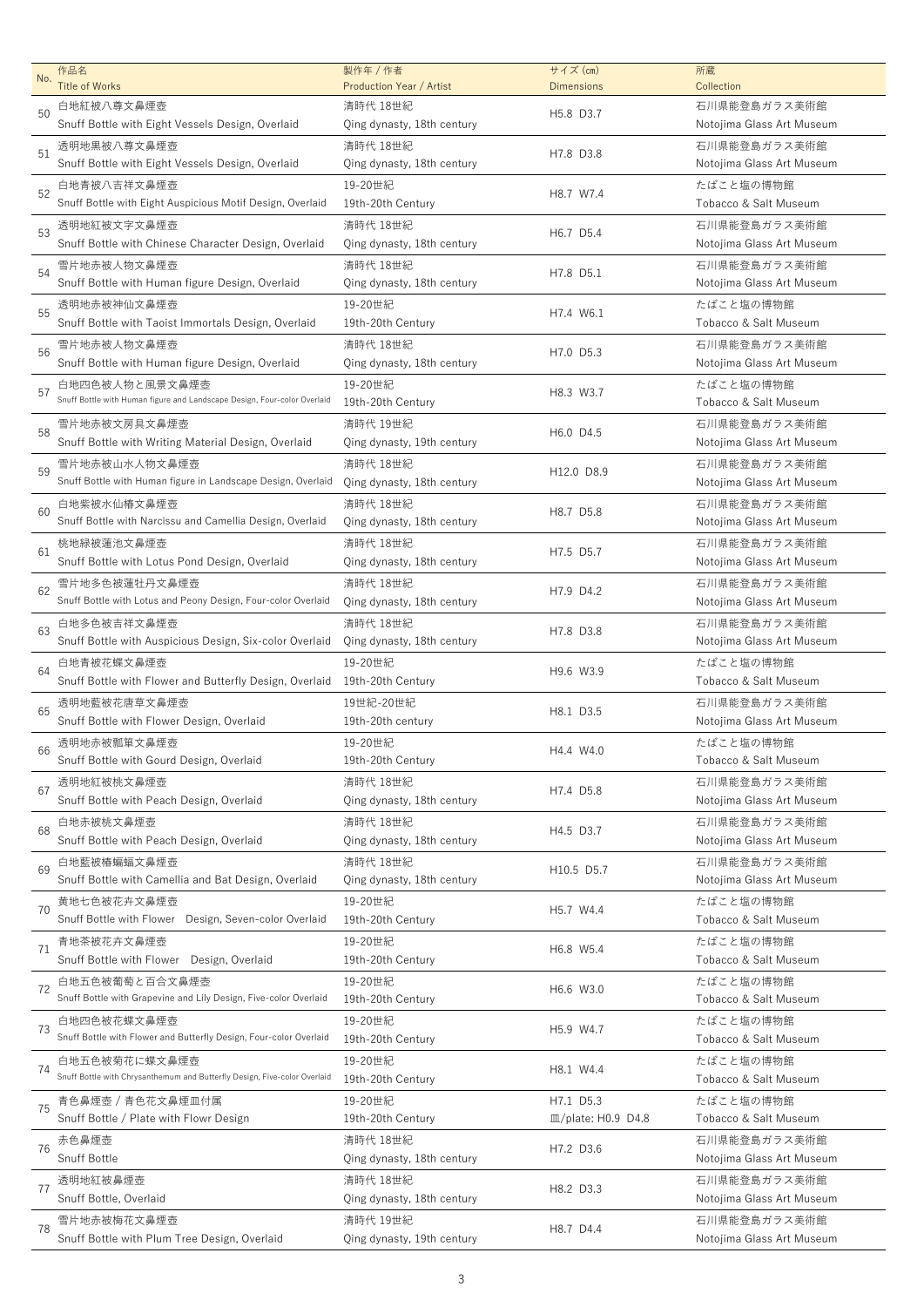| No. | 作品名<br><b>Title of Works</b>                                                               | 製作年 / 作者<br><b>Production Year / Artist</b> | サイズ (cm)<br><b>Dimensions</b>             | 所蔵<br>Collection                          |
|-----|--------------------------------------------------------------------------------------------|---------------------------------------------|-------------------------------------------|-------------------------------------------|
|     | 白地紅被八尊文鼻煙壺                                                                                 | 清時代 18世紀                                    |                                           | 石川県能登島ガラス美術館                              |
| 50  | Snuff Bottle with Eight Vessels Design, Overlaid                                           | Qing dynasty, 18th century                  | H5.8 D3.7                                 | Notojima Glass Art Museum                 |
| 51  | 透明地黒被八尊文鼻煙壺<br>Snuff Bottle with Eight Vessels Design, Overlaid                            | 清時代 18世紀<br>Qing dynasty, 18th century      | H7.8 D3.8                                 | 石川県能登島ガラス美術館<br>Notojima Glass Art Museum |
| 52  | 白地青被八吉祥文鼻煙壺<br>Snuff Bottle with Eight Auspicious Motif Design, Overlaid                   | 19-20世紀<br>19th-20th Century                | H8.7 W7.4                                 | たばこと塩の博物館<br>Tobacco & Salt Museum        |
| 53  | 透明地紅被文字文鼻煙壺<br>Snuff Bottle with Chinese Character Design, Overlaid                        | 清時代 18世紀<br>Qing dynasty, 18th century      | H6.7 D5.4                                 | 石川県能登島ガラス美術館<br>Notojima Glass Art Museum |
| 54  | 雪片地赤被人物文鼻煙壺<br>Snuff Bottle with Human figure Design, Overlaid                             | 清時代 18世紀<br>Qing dynasty, 18th century      | H7.8 D5.1                                 | 石川県能登島ガラス美術館<br>Notojima Glass Art Museum |
| 55  | 透明地赤被神仙文鼻煙壺<br>Snuff Bottle with Taoist Immortals Design, Overlaid                         | 19-20世紀<br>19th-20th Century                | H7.4 W6.1                                 | たばこと塩の博物館<br>Tobacco & Salt Museum        |
| 56  | 雪片地赤被人物文鼻煙壺<br>Snuff Bottle with Human figure Design, Overlaid                             | 清時代 18世紀<br>Qing dynasty, 18th century      | H7.0 D5.3                                 | 石川県能登島ガラス美術館<br>Notojima Glass Art Museum |
| 57  | 白地四色被人物と風景文鼻煙壺<br>Snuff Bottle with Human figure and Landscape Design, Four-color Overlaid | 19-20世紀<br>19th-20th Century                | H8.3 W3.7                                 | たばこと塩の博物館<br>Tobacco & Salt Museum        |
| 58  | 雪片地赤被文房具文鼻煙壺<br>Snuff Bottle with Writing Material Design, Overlaid                        | 清時代 19世紀<br>Qing dynasty, 19th century      | H6.0 D4.5                                 | 石川県能登島ガラス美術館<br>Notojima Glass Art Museum |
| 59  | 雪片地赤被山水人物文鼻煙壺<br>Snuff Bottle with Human figure in Landscape Design, Overlaid              | 清時代 18世紀<br>Qing dynasty, 18th century      | H12.0 D8.9                                | 石川県能登島ガラス美術館<br>Notojima Glass Art Museum |
| 60  | 白地紫被水仙椿文鼻煙壺<br>Snuff Bottle with Narcissu and Camellia Design, Overlaid                    | 清時代 18世紀<br>Qing dynasty, 18th century      | H8.7 D5.8                                 | 石川県能登島ガラス美術館<br>Notojima Glass Art Museum |
| -61 | 桃地緑被蓮池文鼻煙壺<br>Snuff Bottle with Lotus Pond Design, Overlaid                                | 清時代 18世紀<br>Qing dynasty, 18th century      | H7.5 D5.7                                 | 石川県能登島ガラス美術館<br>Notojima Glass Art Museum |
| 62  | 雪片地多色被蓮牡丹文鼻煙壺<br>Snuff Bottle with Lotus and Peony Design, Four-color Overlaid             | 清時代 18世紀<br>Qing dynasty, 18th century      | H7.9 D4.2                                 | 石川県能登島ガラス美術館<br>Notojima Glass Art Museum |
| 63  | 白地多色被吉祥文鼻煙壺<br>Snuff Bottle with Auspicious Design, Six-color Overlaid                     | 清時代 18世紀<br>Qing dynasty, 18th century      | H7.8 D3.8                                 | 石川県能登島ガラス美術館<br>Notojima Glass Art Museum |
| 64  | 白地青被花蝶文鼻煙壺<br>Snuff Bottle with Flower and Butterfly Design, Overlaid                      | 19-20世紀<br>19th-20th Century                | H9.6 W3.9                                 | たばこと塩の博物館<br>Tobacco & Salt Museum        |
| 65  | 透明地藍被花唐草文鼻煙壺<br>Snuff Bottle with Flower Design, Overlaid                                  | 19世紀-20世紀<br>19th-20th century              | H8.1 D3.5                                 | 石川県能登島ガラス美術館<br>Notojima Glass Art Museum |
| 66  | 透明地赤被瓢箪文鼻煙壺<br>Snuff Bottle with Gourd Design, Overlaid                                    | 19-20世紀<br>19th-20th Century                | H4.4 W4.0                                 | たばこと塩の博物館<br>Tobacco & Salt Museum        |
| 67  | 透明地紅被桃文鼻煙壺<br>Snuff Bottle with Peach Design, Overlaid                                     | 清時代 18世紀<br>Qing dynasty, 18th century      | H7.4 D5.8                                 | 石川県能登島ガラス美術館<br>Notojima Glass Art Museum |
| 68  | 白地赤被桃文鼻煙壺<br>Snuff Bottle with Peach Design, Overlaid                                      | 清時代 18世紀<br>Qing dynasty, 18th century      | H4.5 D3.7                                 | 石川県能登島ガラス美術館<br>Notojima Glass Art Museum |
| 69  | 白地藍被椿蝙蝠文鼻煙壺<br>Snuff Bottle with Camellia and Bat Design, Overlaid                         | 清時代 18世紀<br>Qing dynasty, 18th century      | H10.5 D5.7                                | 石川県能登島ガラス美術館<br>Notojima Glass Art Museum |
| 70  | 黄地七色被花卉文鼻煙壺<br>Snuff Bottle with Flower Design, Seven-color Overlaid                       | 19-20世紀<br>19th-20th Century                | H5.7 W4.4                                 | たばこと塩の博物館<br>Tobacco & Salt Museum        |
| 71  | 青地茶被花卉文鼻煙壺<br>Snuff Bottle with Flower Design, Overlaid                                    | 19-20世紀<br>19th-20th Century                | H6.8 W5.4                                 | たばこと塩の博物館<br>Tobacco & Salt Museum        |
| 72  | 白地五色被葡萄と百合文鼻煙壺<br>Snuff Bottle with Grapevine and Lily Design, Five-color Overlaid         | 19-20世紀<br>19th-20th Century                | H6.6 W3.0                                 | たばこと塩の博物館<br>Tobacco & Salt Museum        |
| 73  | 白地四色被花蝶文鼻煙壺<br>Snuff Bottle with Flower and Butterfly Design, Four-color Overlaid          | 19-20世紀<br>19th-20th Century                | H5.9 W4.7                                 | たばこと塩の博物館<br>Tobacco & Salt Museum        |
| 74  | 白地五色被菊花に蝶文鼻煙壺<br>Snuff Bottle with Chrysanthemum and Butterfly Design, Five-color Overlaid | 19-20世紀<br>19th-20th Century                | H8.1 W4.4                                 | たばこと塩の博物館<br>Tobacco & Salt Museum        |
| 75  | 青色鼻煙壺 / 青色花文鼻煙皿付属<br>Snuff Bottle / Plate with Flowr Design                                | 19-20世紀<br>19th-20th Century                | H7.1 D5.3<br><b>III</b> /plate: H0.9 D4.8 | たばこと塩の博物館<br>Tobacco & Salt Museum        |
| 76  | 赤色鼻煙壺<br>Snuff Bottle                                                                      | 清時代 18世紀<br>Qing dynasty, 18th century      | H7.2 D3.6                                 | 石川県能登島ガラス美術館<br>Notojima Glass Art Museum |
| 77  | 透明地紅被鼻煙壺<br>Snuff Bottle, Overlaid                                                         | 清時代 18世紀<br>Qing dynasty, 18th century      | H8.2 D3.3                                 | 石川県能登島ガラス美術館<br>Notojima Glass Art Museum |
| 78  | 雪片地赤被梅花文鼻煙壺<br>Snuff Bottle with Plum Tree Design, Overlaid                                | 清時代 19世紀<br>Qing dynasty, 19th century      | H8.7 D4.4                                 | 石川県能登島ガラス美術館<br>Notojima Glass Art Museum |